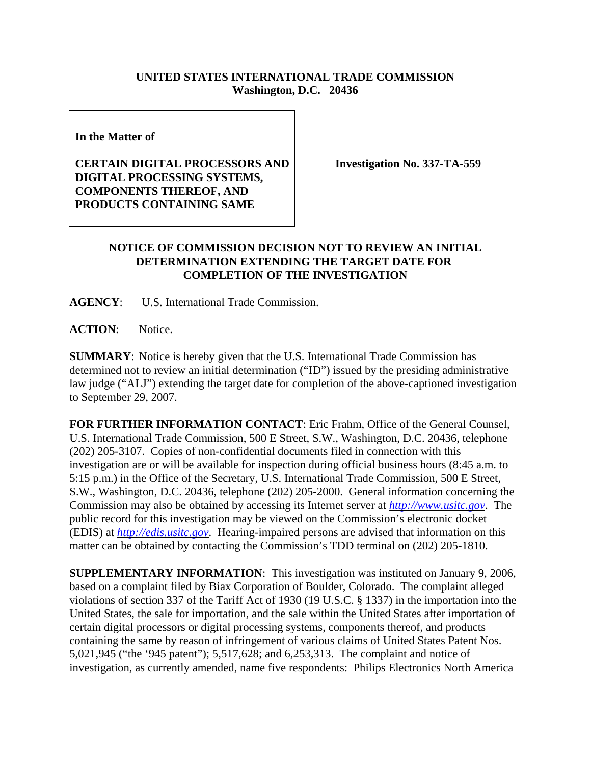## **UNITED STATES INTERNATIONAL TRADE COMMISSION Washington, D.C. 20436**

**In the Matter of** 

## **CERTAIN DIGITAL PROCESSORS AND DIGITAL PROCESSING SYSTEMS, COMPONENTS THEREOF, AND PRODUCTS CONTAINING SAME**

**Investigation No. 337-TA-559**

## **NOTICE OF COMMISSION DECISION NOT TO REVIEW AN INITIAL DETERMINATION EXTENDING THE TARGET DATE FOR COMPLETION OF THE INVESTIGATION**

**AGENCY**: U.S. International Trade Commission.

**ACTION**: Notice.

**SUMMARY**: Notice is hereby given that the U.S. International Trade Commission has determined not to review an initial determination ("ID") issued by the presiding administrative law judge ("ALJ") extending the target date for completion of the above-captioned investigation to September 29, 2007.

**FOR FURTHER INFORMATION CONTACT**: Eric Frahm, Office of the General Counsel, U.S. International Trade Commission, 500 E Street, S.W., Washington, D.C. 20436, telephone (202) 205-3107. Copies of non-confidential documents filed in connection with this investigation are or will be available for inspection during official business hours (8:45 a.m. to 5:15 p.m.) in the Office of the Secretary, U.S. International Trade Commission, 500 E Street, S.W., Washington, D.C. 20436, telephone (202) 205-2000. General information concerning the Commission may also be obtained by accessing its Internet server at *http://www.usitc.gov*. The public record for this investigation may be viewed on the Commission's electronic docket (EDIS) at *http://edis.usitc.gov*. Hearing-impaired persons are advised that information on this matter can be obtained by contacting the Commission's TDD terminal on (202) 205-1810.

**SUPPLEMENTARY INFORMATION**: This investigation was instituted on January 9, 2006, based on a complaint filed by Biax Corporation of Boulder, Colorado. The complaint alleged violations of section 337 of the Tariff Act of 1930 (19 U.S.C. § 1337) in the importation into the United States, the sale for importation, and the sale within the United States after importation of certain digital processors or digital processing systems, components thereof, and products containing the same by reason of infringement of various claims of United States Patent Nos. 5,021,945 ("the '945 patent"); 5,517,628; and 6,253,313. The complaint and notice of investigation, as currently amended, name five respondents: Philips Electronics North America